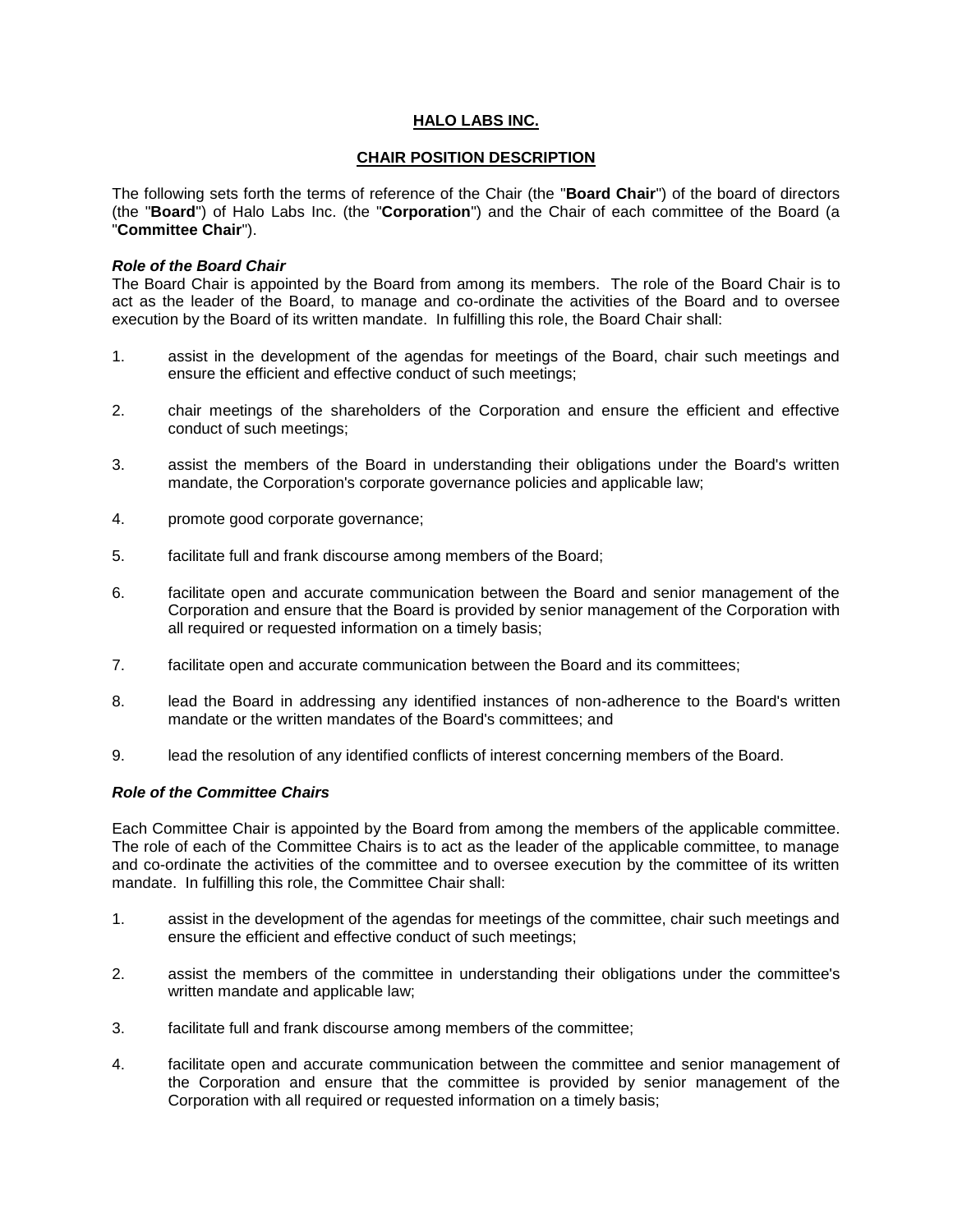## **HALO LABS INC.**

## **CHAIR POSITION DESCRIPTION**

The following sets forth the terms of reference of the Chair (the "**Board Chair**") of the board of directors (the "**Board**") of Halo Labs Inc. (the "**Corporation**") and the Chair of each committee of the Board (a "**Committee Chair**").

## *Role of the Board Chair*

The Board Chair is appointed by the Board from among its members. The role of the Board Chair is to act as the leader of the Board, to manage and co-ordinate the activities of the Board and to oversee execution by the Board of its written mandate. In fulfilling this role, the Board Chair shall:

- 1. assist in the development of the agendas for meetings of the Board, chair such meetings and ensure the efficient and effective conduct of such meetings;
- 2. chair meetings of the shareholders of the Corporation and ensure the efficient and effective conduct of such meetings;
- 3. assist the members of the Board in understanding their obligations under the Board's written mandate, the Corporation's corporate governance policies and applicable law;
- 4. promote good corporate governance;
- 5. facilitate full and frank discourse among members of the Board;
- 6. facilitate open and accurate communication between the Board and senior management of the Corporation and ensure that the Board is provided by senior management of the Corporation with all required or requested information on a timely basis;
- 7. facilitate open and accurate communication between the Board and its committees;
- 8. lead the Board in addressing any identified instances of non-adherence to the Board's written mandate or the written mandates of the Board's committees; and
- 9. lead the resolution of any identified conflicts of interest concerning members of the Board.

## *Role of the Committee Chairs*

Each Committee Chair is appointed by the Board from among the members of the applicable committee. The role of each of the Committee Chairs is to act as the leader of the applicable committee, to manage and co-ordinate the activities of the committee and to oversee execution by the committee of its written mandate. In fulfilling this role, the Committee Chair shall:

- 1. assist in the development of the agendas for meetings of the committee, chair such meetings and ensure the efficient and effective conduct of such meetings;
- 2. assist the members of the committee in understanding their obligations under the committee's written mandate and applicable law;
- 3. facilitate full and frank discourse among members of the committee;
- 4. facilitate open and accurate communication between the committee and senior management of the Corporation and ensure that the committee is provided by senior management of the Corporation with all required or requested information on a timely basis;